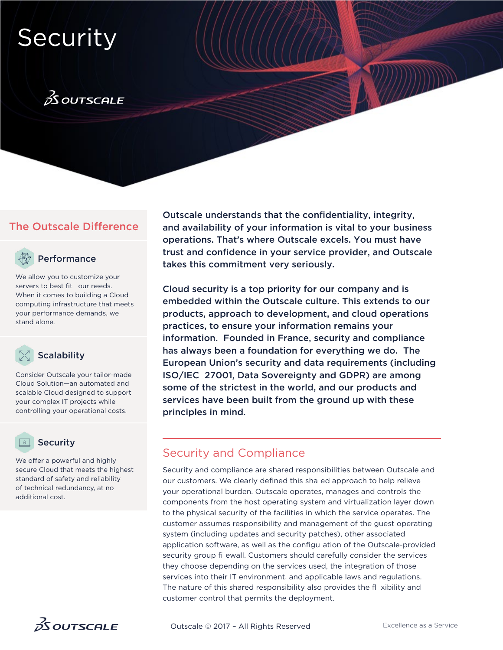# **Security**

# $\frac{2}{25}$ OUTSCALE

## The Outscale Difference



## Performance

We allow you to customize your servers to best fit our needs. When it comes to building a Cloud computing infrastructure that meets your performance demands, we stand alone.



Consider Outscale your tailor-made Cloud Solution—an automated and scalable Cloud designed to support your complex IT projects while controlling your operational costs.

## **Security**

We offer a powerful and highly secure Cloud that meets the highest standard of safety and reliability of technical redundancy, at no additional cost.



Outscale understands that the confidentiality, integrity, and availability of your information is vital to your business operations. That's where Outscale excels. You must have trust and confidence in your service provider, and Outscale takes this commitment very seriously.

Cloud security is a top priority for our company and is embedded within the Outscale culture. This extends to our products, approach to development, and cloud operations practices, to ensure your information remains your information. Founded in France, security and compliance has always been a foundation for everything we do. The European Union's security and data requirements (including ISO/IEC 27001, Data Sovereignty and GDPR) are among some of the strictest in the world, and our products and services have been built from the ground up with these principles in mind.

## Security and Compliance

Security and compliance are shared responsibilities between Outscale and our customers. We clearly defined this sha ed approach to help relieve your operational burden. Outscale operates, manages and controls the components from the host operating system and virtualization layer down to the physical security of the facilities in which the service operates. The customer assumes responsibility and management of the guest operating system (including updates and security patches), other associated application software, as well as the configu ation of the Outscale-provided security group fi ewall. Customers should carefully consider the services they choose depending on the services used, the integration of those services into their IT environment, and applicable laws and regulations. The nature of this shared responsibility also provides the fl xibility and customer control that permits the deployment.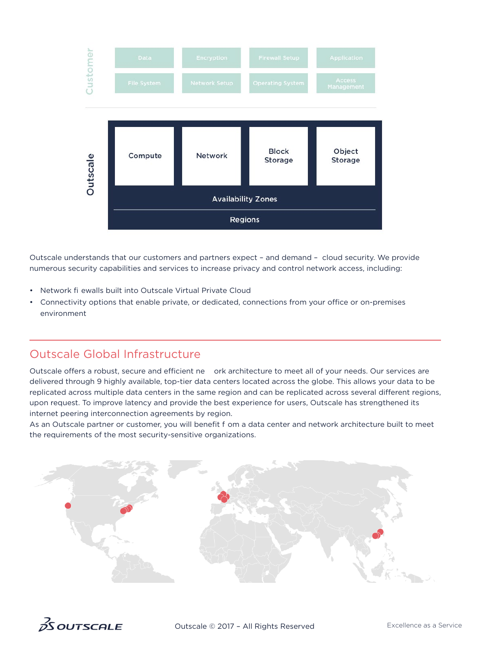

Outscale understands that our customers and partners expect – and demand – cloud security. We provide numerous security capabilities and services to increase privacy and control network access, including:

- Network fi ewalls built into Outscale Virtual Private Cloud
- Connectivity options that enable private, or dedicated, connections from your office or on-premises environment

## Outscale Global Infrastructure

Outscale offers a robust, secure and efficient ne ork architecture to meet all of your needs. Our services are delivered through 9 highly available, top-tier data centers located across the globe. This allows your data to be replicated across multiple data centers in the same region and can be replicated across several different regions, upon request. To improve latency and provide the best experience for users, Outscale has strengthened its internet peering interconnection agreements by region.

As an Outscale partner or customer, you will benefit f om a data center and network architecture built to meet the requirements of the most security-sensitive organizations.



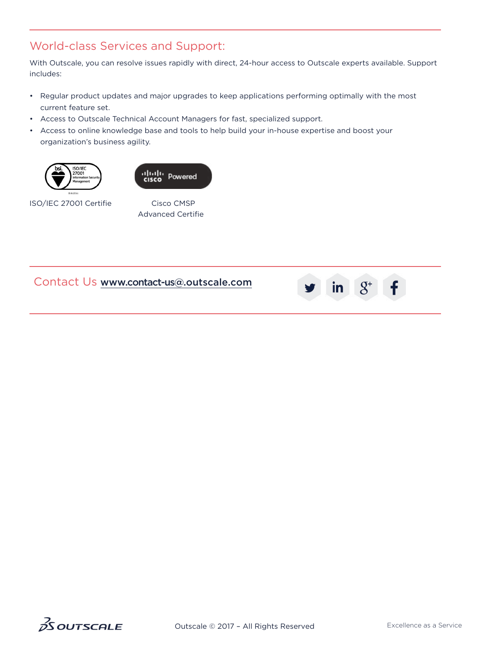## World-class Services and Support:

With Outscale, you can resolve issues rapidly with direct, 24-hour access to Outscale experts available. Support includes:

- Regular product updates and major upgrades to keep applications performing optimally with the most current feature set.
- Access to Outscale Technical Account Managers for fast, specialized support.
- Access to online knowledge base and tools to help build your in-house expertise and boost your organization's business agility.





ISO/IEC 27001 Certifie

Cisco CMSP Advanced Certifie

## Contact Us [www.c](http://www.outscale.com)[ontac](https://twitter.com/OutscaleInc)[t-us@.](https://www.linkedin.com/showcase/10560803/)[outsc](https://plus.google.com/+OutscaleUs)[a](http://www.outscale.com)[le.co](https://www.facebook.com/outscaleinc/)[m](http://www.outscale.com)